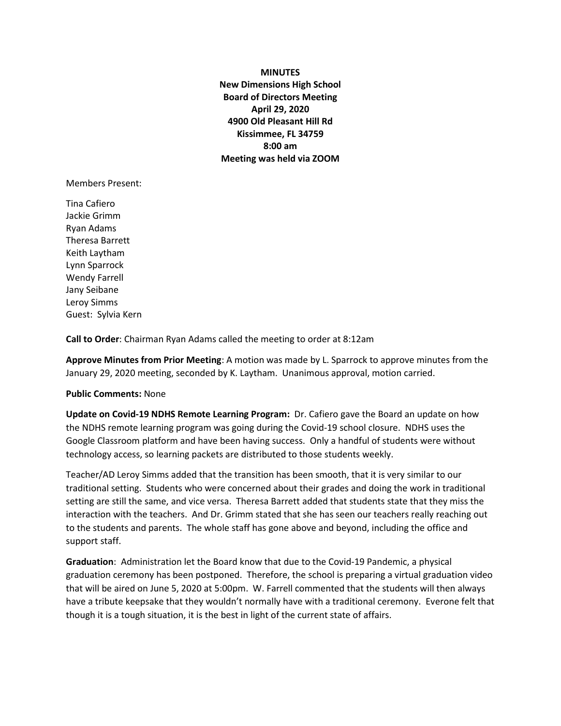## **MINUTES**

**New Dimensions High School Board of Directors Meeting April 29, 2020 4900 Old Pleasant Hill Rd Kissimmee, FL 34759 8:00 am Meeting was held via ZOOM**

Members Present:

Tina Cafiero Jackie Grimm Ryan Adams Theresa Barrett Keith Laytham Lynn Sparrock Wendy Farrell Jany Seibane Leroy Simms Guest: Sylvia Kern

**Call to Order**: Chairman Ryan Adams called the meeting to order at 8:12am

**Approve Minutes from Prior Meeting**: A motion was made by L. Sparrock to approve minutes from the January 29, 2020 meeting, seconded by K. Laytham. Unanimous approval, motion carried.

## **Public Comments:** None

**Update on Covid-19 NDHS Remote Learning Program:** Dr. Cafiero gave the Board an update on how the NDHS remote learning program was going during the Covid-19 school closure. NDHS uses the Google Classroom platform and have been having success. Only a handful of students were without technology access, so learning packets are distributed to those students weekly.

Teacher/AD Leroy Simms added that the transition has been smooth, that it is very similar to our traditional setting. Students who were concerned about their grades and doing the work in traditional setting are still the same, and vice versa. Theresa Barrett added that students state that they miss the interaction with the teachers. And Dr. Grimm stated that she has seen our teachers really reaching out to the students and parents. The whole staff has gone above and beyond, including the office and support staff.

**Graduation**: Administration let the Board know that due to the Covid-19 Pandemic, a physical graduation ceremony has been postponed. Therefore, the school is preparing a virtual graduation video that will be aired on June 5, 2020 at 5:00pm. W. Farrell commented that the students will then always have a tribute keepsake that they wouldn't normally have with a traditional ceremony. Everone felt that though it is a tough situation, it is the best in light of the current state of affairs.